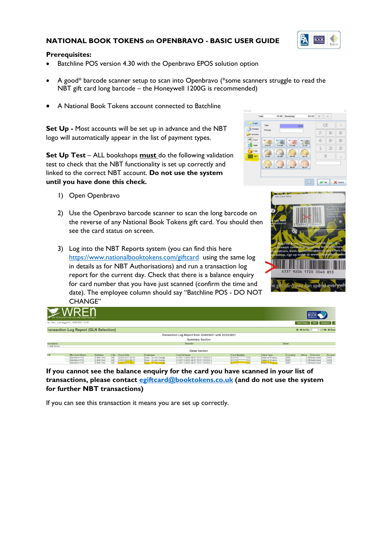## **NATIONAL BOOK TOKENS on OPENBRAVO - BASIC USER GUIDE**



#### **Prerequisites:**

- Batchline POS version 4.30 with the Openbravo EPOS solution option
- A good\* barcode scanner setup to scan into Openbravo (\*some scanners struggle to read the NBT gift card long barcode – the Honeywell 1200G is recommended)
- A National Book Tokens account connected to Batchline

**Set Up -** Most accounts will be set up in advance and the NBT logo will automatically appear in the list of payment types.

**Set Up Test** – ALL bookshops **must** do the following validation test to check that the NBT functionality is set up correctly and linked to the correct NBT account. **Do not use the system until you have done this check.**

- 1) Open Openbravo
- 2) Use the Openbravo barcode scanner to scan the long barcode on the reverse of any National Book Tokens gift card. You should then see the card status on screen.
- 3) Log into the NBT Reports system (you can find this here <https://www.nationalbooktokens.com/giftcard> using the same log in details as for NBT Authorisations) and run a transaction log report for the current day. Check that there is a balance enquiry for card number that you have just scanned (confirm the time and date). The employee column should say "Batchline POS - DO NOT CHANGE"





|                                     | The FIS Merchant Payments Web Reporting Engine |                |           |                  |                      |                                                         |                       |                        |            | <b>NATIONAL</b><br><b>BOOK</b>  |                                                                                                                                                                                                                                                    |
|-------------------------------------|------------------------------------------------|----------------|-----------|------------------|----------------------|---------------------------------------------------------|-----------------------|------------------------|------------|---------------------------------|----------------------------------------------------------------------------------------------------------------------------------------------------------------------------------------------------------------------------------------------------|
|                                     | ser: Alex. Last logged in: 18/03/2021 14:36    |                |           |                  |                      |                                                         |                       |                        |            | Select Report Print Download At |                                                                                                                                                                                                                                                    |
|                                     | ransaction Log Report (GLN Selection)          |                |           |                  |                      |                                                         |                       |                        |            | <b>K 4 GoTo: 1</b>              | $\vee$ /1H H Row                                                                                                                                                                                                                                   |
|                                     |                                                |                |           |                  |                      | Transaction Log Report from 22/03/2021 until 22/03/2021 |                       |                        |            |                                 |                                                                                                                                                                                                                                                    |
|                                     |                                                |                |           |                  |                      | <b>Summary Section</b>                                  |                       |                        |            |                                 |                                                                                                                                                                                                                                                    |
| <b>lescription</b><br>lo data found |                                                |                |           |                  |                      | Number                                                  |                       |                        | Value      |                                 |                                                                                                                                                                                                                                                    |
|                                     |                                                |                |           |                  |                      | <b>Detail Section</b>                                   |                       |                        |            |                                 |                                                                                                                                                                                                                                                    |
| LN                                  | <b>Merchant Name</b>                           | <b>Address</b> | City      | Trans Date       | Employee             | <b>Card Scheme</b>                                      | <b>Card Number</b>    | <b>Trans Type</b>      | Currency   | Value<br>Outcome                | Access                                                                                                                                                                                                                                             |
|                                     | <b>Batchline POS</b>                           | 6 Bell Yard    | <b>GB</b> | 22/03/2021 08:56 | Epos - do not change | E-GIFT CARD-NEW TEST CARDS 6                            | 633792 ********* 7526 | Balance Enquiry        | <b>GBP</b> | 0.00 Authorised                 | <b>WEB</b>                                                                                                                                                                                                                                         |
|                                     | <b>Batchline POS</b>                           | 6 Bell Yard    | <b>GB</b> | 22/03/2021 08:57 | Epos - do not change | E-GIFT CARD-NEW TEST CARDS 6                            | 633792 ********* 7526 | <b>Balance Enquiry</b> | <b>GBP</b> | 0.00 Authorised                 | <b>WEB</b><br><u> The Common Service Common Service Common Service Common Service Common Service Common Service Common Service Common Service Common Service Common Service Common Service Common Service Common Service Common Service Common</u> |

**If you cannot see the balance enquiry for the card you have scanned in your list of transactions, please contact [egiftcard@booktokens.co.uk](mailto:egiftcard@booktokens.co.uk) (and do not use the system for further NBT transactions)** 

If you can see this transaction it means you are set up correctly.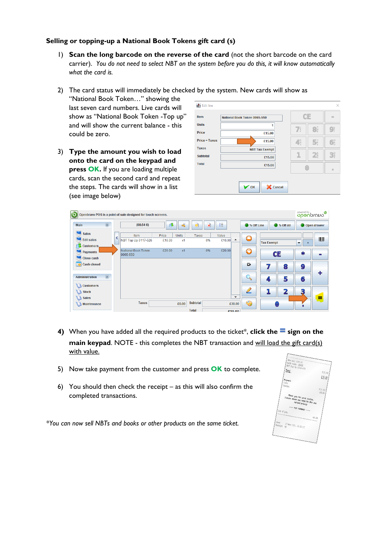## **Selling or topping-up a National Book Tokens gift card (s)**

1) **Scan the long barcode on the reverse of the card** (not the short barcode on the card carrier). *You do not need to select NBT on the system before you do this, it will know automatically what the card is.*

#### 2) The card status will immediately be checked by the system. New cards will show as

"National Book Token…" showing the last seven card numbers. Live cards will show as "National Book Token -Top up" and will show the current balance - this could be zero.

3) **Type the amount you wish to load onto the card on the keypad and press OK.** If you are loading multiple cards, scan the second card and repeat the steps. The cards will show in a list (see image below)

| <b>Item</b>          | National Book Token 0065-550 |                | CE                                     |                                        |  |
|----------------------|------------------------------|----------------|----------------------------------------|----------------------------------------|--|
| <b>Units</b>         |                              | $\mathbb{Z}^s$ | $\mathbf{B}_{\mathrm{v}}^{\mathrm{T}}$ | $\mathbf{Q}^{\text{w}}_{\text{i}}$     |  |
| Price                | £15.00                       |                |                                        |                                        |  |
| <b>Price + Taxes</b> | £15.00                       | 4              | 5 <sup>t</sup>                         | $\mathbf{G}_{\mathrm{N}}^{\mathrm{M}}$ |  |
| <b>Taxes</b>         | <b>NBT Tax Exempt</b>        |                |                                        |                                        |  |
| <b>Subtotal</b>      | £15.00                       |                | $2^a$                                  | $\mathbf{B}_{F}^{D}$                   |  |
| <b>Total</b>         | £15.00                       |                |                                        | $\equiv$                               |  |
|                      |                              |                |                                        |                                        |  |



- **4)** When you have added all the required products to the ticket\*, **click the = sign on the main keypad**. NOTE - this completes the NBT transaction and will load the gift card(s) with value.
- 5) Now take payment from the customer and press **OK** to complete.
- 6) You should then check the receipt as this will also confirm the completed transactions.

*\*You can now sell NBTs and books or other products on the same ticket.*

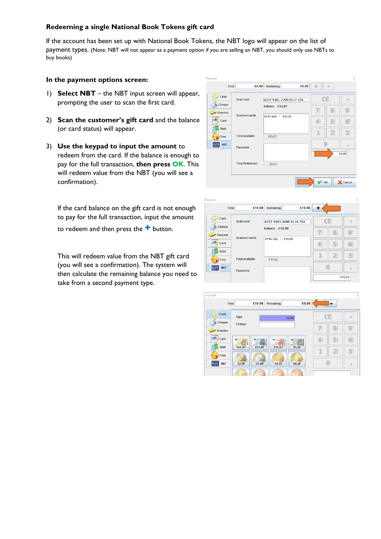## **Redeeming a single National Book Tokens gift card**

If the account has been set up with National Book Tokens, the NBT logo will appear on the list of payment types. (Note: NBT will not appear as a payment option if you are selling an NBT, you should only use NBTs to buy books)

#### **In the payment options screen:**

- 1) **Select NBT** the NBT input screen will appear, prompting the user to scan the first card.
- 2) **Scan the customer's gift card** and the balance (or card status) will appear.
- 3) **Use the keypad to input the amount** to redeem from the card. If the balance is enough to pay for the full transaction, **then press OK**. This will redeem value from the NBT (you will see a confirmation).

If the card balance on the gift card is not enough to pay for the full transaction, input the amount

to redeem and then press the **+** button.

This will redeem value from the NBT gift card (you will see a confirmation). The system will then calculate the remaining balance you need to take from a second payment type.





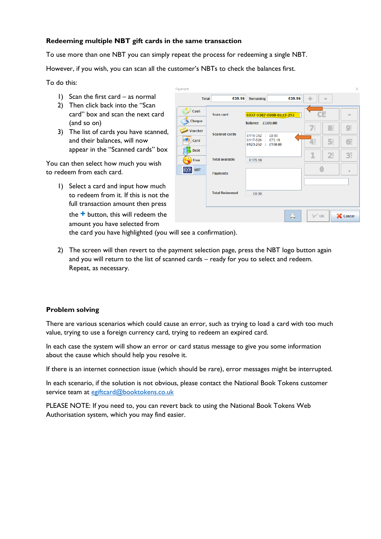## **Redeeming multiple NBT gift cards in the same transaction**

To use more than one NBT you can simply repeat the process for redeeming a single NBT.

However, if you wish, you can scan all the customer's NBTs to check the balances first.

To do this:

- 1) Scan the first card as normal
- 2) Then click back into the "Scan card" box and scan the next card (and so on)
- 3) The list of cards you have scanned, and their balances, will now appear in the "Scanned cards" box

You can then select how much you wish to redeem from each card.

1) Select a card and input how much to redeem from it. If this is not the full transaction amount then press

the **+** button, this will redeem the amount you have selected from

| Payment                           |                        |                                                                              |        |                |                      | ×                         |
|-----------------------------------|------------------------|------------------------------------------------------------------------------|--------|----------------|----------------------|---------------------------|
| <b>Total</b>                      | £39.96                 | Remaining                                                                    | £39.96 | ÷              | $\equiv$             |                           |
| Cash                              | <b>Scan card</b>       | 6337-9207-0800-0123-252                                                      |        |                |                      | $\frac{1}{2}$             |
| Cheque<br><b>Voucher</b>          |                        | balance £100.00                                                              |        | $\overline{I}$ | $\mathbf{B}_{v}^{T}$ | $9^{\circ}_{\circ}$       |
| Card                              | <b>Scanned cards</b>   | 0116-352<br>$\pm 0.00$<br>0117-526<br>£75.19<br>$\sim$<br>0123-252 : £100.00 |        | 4ŗ             | 5 <sup>t</sup>       | $6^{\text{M}}_{\text{O}}$ |
| <b>Debt</b>                       | <b>Total available</b> |                                                                              |        | 1              | 2a                   | $\mathbf{B}_{F}^{D}$      |
| Free<br><b>BOOK</b><br><b>NBT</b> |                        | £175.19                                                                      |        |                |                      | ш                         |
|                                   | <b>Payments</b>        |                                                                              |        |                |                      |                           |
|                                   | <b>Total Redeemed</b>  | £0.00                                                                        |        |                |                      |                           |
|                                   |                        |                                                                              |        |                |                      |                           |
|                                   |                        |                                                                              |        | $\sim$ OK      |                      | X Cancel                  |

the card you have highlighted (you will see a confirmation).

2) The screen will then revert to the payment selection page, press the NBT logo button again and you will return to the list of scanned cards – ready for you to select and redeem. Repeat, as necessary.

#### **Problem solving**

There are various scenarios which could cause an error, such as trying to load a card with too much value, trying to use a foreign currency card, trying to redeem an expired card.

In each case the system will show an error or card status message to give you some information about the cause which should help you resolve it.

If there is an internet connection issue (which should be rare), error messages might be interrupted.

In each scenario, if the solution is not obvious, please contact the National Book Tokens customer service team at [egiftcard@booktokens.co.uk](mailto:egiftcard@booktokens.co.uk)

PLEASE NOTE: If you need to, you can revert back to using the National Book Tokens Web Authorisation system, which you may find easier.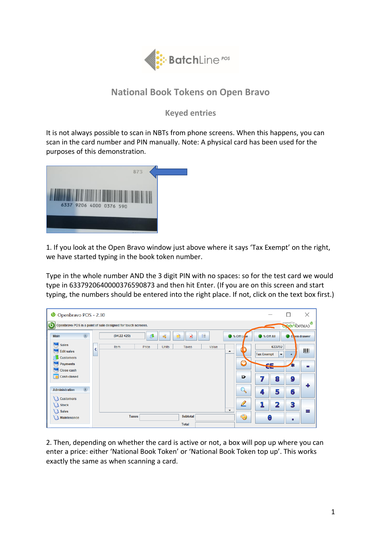

# **National Book Tokens on Open Bravo**

**Keyed entries**

It is not always possible to scan in NBTs from phone screens. When this happens, you can scan in the card number and PIN manually. Note: A physical card has been used for the purposes of this demonstration.



1. If you look at the Open Bravo window just above where it says 'Tax Exempt' on the right, we have started typing in the book token number.

Type in the whole number AND the 3 digit PIN with no spaces: so for the test card we would type in 6337920640000376590873 and then hit Enter. (If you are on this screen and start typing, the numbers should be entered into the right place. If not, click on the text box first.)

| O Openbravo POS - 2.30                                                                                            |                                                                   | X<br>$\mathsf{L}$                                                                                                                                  |  |  |  |  |  |  |  |
|-------------------------------------------------------------------------------------------------------------------|-------------------------------------------------------------------|----------------------------------------------------------------------------------------------------------------------------------------------------|--|--|--|--|--|--|--|
| <b>DOGOOTODO</b><br>Openbravo POS is a point of sale designed for touch screens.                                  |                                                                   |                                                                                                                                                    |  |  |  |  |  |  |  |
| $\hat{\mathbf{x}}$<br>Main                                                                                        | E.<br>$\mathbf{d}$<br>$\pmb{\times}$<br>狂<br>(04:22429)<br>串      | ● % Off Li <sub>le</sub><br><b>O</b> % Off All<br>O o en drawer                                                                                    |  |  |  |  |  |  |  |
| Ы<br><b>Sales</b><br><b>Edit sales</b><br><b>Customers</b><br>Payments<br><b>Close cash</b><br><b>Cash closed</b> | Item<br>Price<br>Units<br>Taxes<br>Value<br>∢<br>$\blacktriangle$ | 633792<br><b>Tax Exempt</b><br>$\overline{\phantom{a}}$<br>$\ddotmark$<br>C<br>Æ<br>傘<br>$\blacksquare$<br><b>MET</b><br>$E^*$<br>9<br>7<br>8<br>٠ |  |  |  |  |  |  |  |
| $\hat{\mathbf{x}}$<br><b>Administration</b><br><b>Customers</b>                                                   |                                                                   | 6<br>5<br>4                                                                                                                                        |  |  |  |  |  |  |  |
| Stock<br><b>Sales</b>                                                                                             | $\overline{\phantom{a}}$                                          | Ø<br>1<br>3<br>$\overline{\mathbf{2}}$<br>=                                                                                                        |  |  |  |  |  |  |  |
| Maintenance                                                                                                       | <b>Taxes</b><br><b>Subtotal</b><br><b>Total</b>                   | $\begin{pmatrix} 1 \\ -1 \end{pmatrix}$<br>$\bigcirc$<br>۸                                                                                         |  |  |  |  |  |  |  |

2. Then, depending on whether the card is active or not, a box will pop up where you can enter a price: either 'National Book Token' or 'National Book Token top up'. This works exactly the same as when scanning a card.